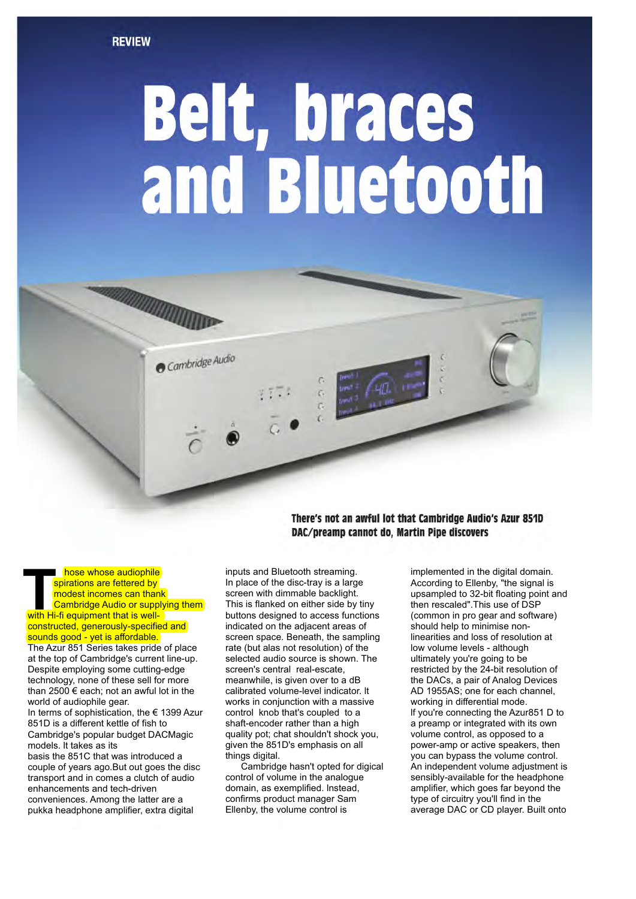# **Belt, braces<br>and Bluetooth**



There's not an awful lot that Cambridge Audio's Azur 851D DAC/preamp cannot do, Martin Pipe discovers

**THE CONSERVING CONSERVING CONSERVING CONSERVING CONSERVING CONSERVING CONSERVING CONSERVING CONSERVING CONSERVING CONSERVING CONSERVING CONSERVING CONSERVING CONSERVING CONSERVING CONSERVING CONSERVING CONSERVING CONSERVI**  hose whose audiophile spirations are fettered by modest incomes can thank Cambridge Audio or supplying them constructed, generously-specified and sounds good - yet is affordable.

The Azur 851 Series takes pride of place at the top of Cambridge's current line-up. Despite employing some cutting-edge technology, none of these sell for more than 2500 € each; not an awful lot in the world of audiophile gear.

In terms of sophistication, the € 1399 Azur 851D is a different kettle of fish to Cambridge's popular budget DACMagic models. lt takes as its

basis the 851C that was introduced a couple of years ago.But out goes the disc transport and in comes a clutch of audio enhancements and tech-driven conveniences. Among the latter are a pukka headphone amplifier, extra digital

inputs and Bluetooth streaming. In place of the disc-tray is a large screen with dimmable backlight. This is flanked on either side by tiny buttons designed to access functions indicated on the adjacent areas of screen space. Beneath, the sampling rate (but alas not resolution) of the selected audio source is shown. The screen's central real-escate, meanwhile, is given over to a dB calibrated volume-level indicator. lt works in conjunction with a massive control knob that's coupled to a shaft-encoder rather than a high quality pot; chat shouldn't shock you, given the 851D's emphasis on all things digital.

 Cambridge hasn't opted for digical control of volume in the analogue domain, as exemplified. lnstead, confirms product manager Sam Ellenby, the volume control is

implemented in the digital domain. According to Ellenby, "the signal is upsampled to 32-bit floating point and then rescaled".This use of DSP (common in pro gear and software) should help to minimise nonlinearities and loss of resolution at low volume levels - although ultimately you're going to be restricted by the 24-bit resolution of the DACs, a pair of Analog Devices AD 1955AS; one for each channel, working in differential mode. lf you're connecting the Azur851 D to a preamp or integrated with its own volume control, as opposed to a power-amp or active speakers, then you can bypass the volume control. An independent volume adjustment is sensibly-available for the headphone amplifier, which goes far beyond the type of circuitry you'll find in the average DAC or CD player. Built onto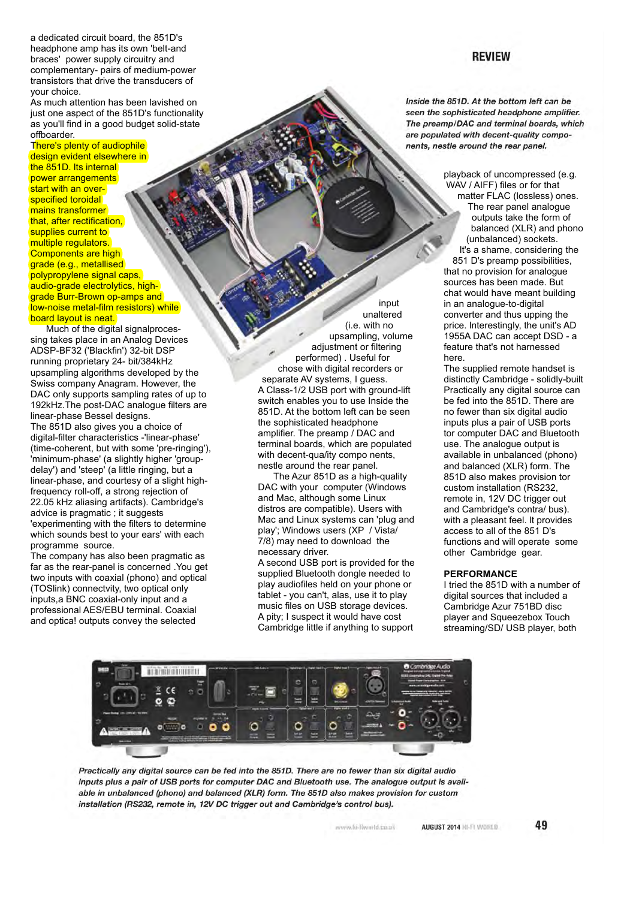a dedicated circuit board, the 851D's headphone amp has its own 'belt-and braces' power supply circuitry and complementary- pairs of medium-power transistors that drive the transducers of your choice.

As much attention has been lavished on just one aspect of the 851D's functionality as you'll find in a good budget solid-state offboarder.

# There's plenty of audiophile

design evident elsewhere in the 851D. Its internal power arrangements start with an overspecified toroidal mains transformer that, after rectification. supplies current to multiple regulators. Components are high grade (e.g., metallised) polypropylene signal caps, audio-grade electrolytics, highgrade Burr-Brown op-amps and low-noise metal-film resistors) while board layout is neat.

 Much of the digital signalprocessing takes place in an Analog Devices ADSP-BF32 ('Blackfin') 32-bit DSP running proprietary 24- bit/384kHz upsampling algorithms developed by the Swiss company Anagram. However, the DAC only supports sampling rates of up to 192kHz.The post-DAC analogue filters are linear-phase Bessel designs.

The 851D also gives you a choice of digital-filter characteristics -'linear-phase' (time-coherent, but with some 'pre-ringing'), 'minimum-phase' (a slightly higher 'groupdelay') and 'steep' (a little ringing, but a linear-phase, and courtesy of a slight highfrequency roll-off, a strong rejection of 22.05 kHz aliasing artifacts). Cambridge's advice is pragmatic ; it suggests 'experimenting with the filters to determine which sounds best to your ears' with each programme source.

The company has also been pragmatic as far as the rear-panel is concerned .You get two inputs with coaxial (phono) and optical (TOSlink) connectvity, two optical only inputs,a BNC coaxial-only input and a professional AES/EBU terminal. Coaxial and optica! outputs convey the selected

input unaltered (i.e. with no upsampling, volume adjustment or filtering performed) . Useful for chose with digital recorders or separate AV systems, I guess. A Class-1/2 USB port with ground-lift switch enables you to use Inside the 851D. At the bottom left can be seen the sophisticated headphone amplifier. The preamp / DAC and terminal boards, which are populated with decent-qua/ity compo nents. nestle around the rear panel.

 The Azur 851D as a high-quality DAC with your computer (Windows and Mac, although some Linux distros are compatible). Users with Mac and Linux systems can 'plug and play'; Windows users (XP / Vista/ 7/8) may need to download the necessary driver.

A second USB port is provided for the supplied Bluetooth dongle needed to play audiofiles held on your phone or tablet - you can't, alas, use it to play music files on USB storage devices. A pity; I suspect it would have cost Cambridge little if anything to support

Inside the 851D. At the bottom left can be seen the sophisticated headphone amplifier. The preamp/DAC and terminal boards, which are populated with decent-quality components, nestle around the rear panel.

> playback of uncompressed (e.g. WAV / AIFF) files or for that matter FLAC (lossless) ones. The rear panel analogue outputs take the form of balanced (XLR) and phono (unbalanced) sockets. lt's a shame, considering the 851 D's preamp possibilities, that no provision for analogue sources has been made. But chat would have meant building in an analogue-to-digital converter and thus upping the price. lnterestingly, the unit's AD 1955A DAC can accept DSD - a feature that's not harnessed here.

> The supplied remote handset is distinctly Cambridge - solidly-built Practically any digital source can be fed into the 851D. There are no fewer than six digital audio inputs plus a pair of USB ports tor computer DAC and Bluetooth use. The analogue output is available in unbalanced (phono) and balanced (XLR) form. The 851D also makes provision tor custom installation (RS232, remote in, 12V DC trigger out and Cambridge's contra/ bus). with a pleasant feel. lt provides access to all of the 851 D's functions and will operate some other Cambridge gear.

## **PERFORMANCE**

AUGUST 2014 HI-FI WORLD

I tried the 851D with a number of digital sources that included a Cambridge Azur 751BD disc player and Squeezebox Touch streaming/SD/ USB player, both



Practically any digital source can be fed into the 851D. There are no fewer than six digital audio inputs plus a pair of USB ports for computer DAC and Bluetooth use. The analogue output is available in unbalanced (phono) and balanced (XLR) form. The 851D also makes provision for custom installation (RS232, remote in, 12V DC trigger out and Cambridge's control bus).

www.hi-flworld.co.ak

# **REVIEW**